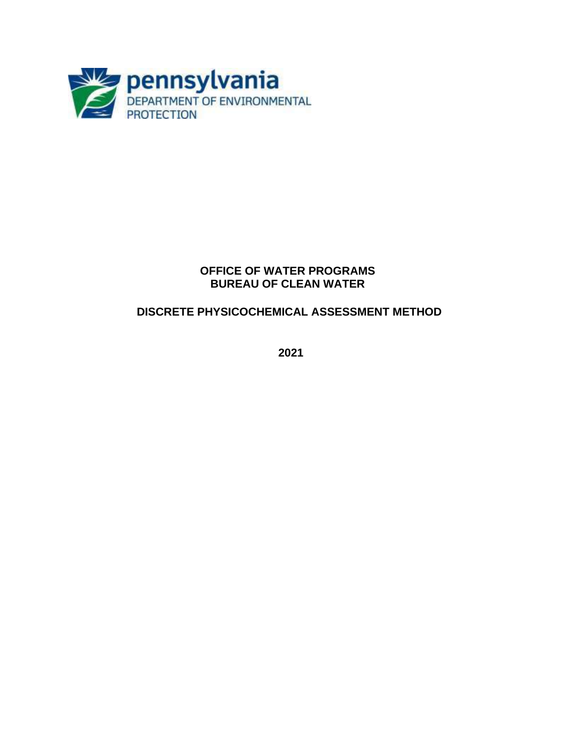

#### **OFFICE OF WATER PROGRAMS BUREAU OF CLEAN WATER**

# **DISCRETE PHYSICOCHEMICAL ASSESSMENT METHOD**

**2021**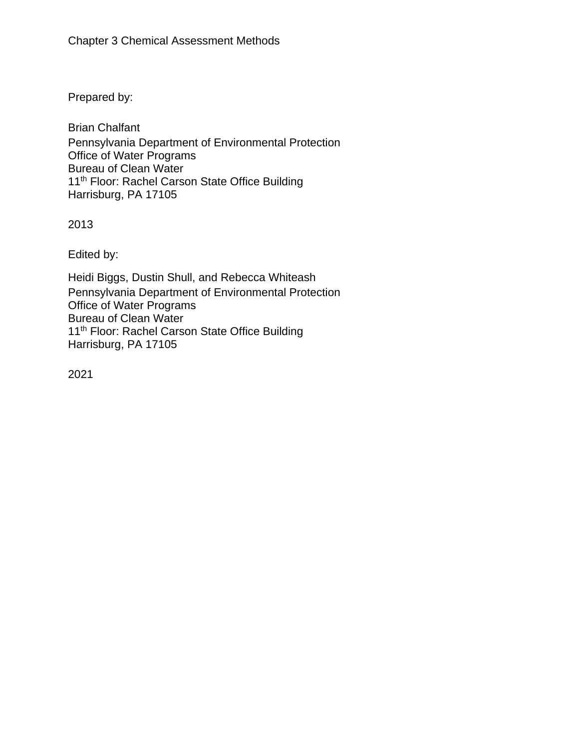Prepared by:

Brian Chalfant Pennsylvania Department of Environmental Protection Office of Water Programs Bureau of Clean Water 11<sup>th</sup> Floor: Rachel Carson State Office Building Harrisburg, PA 17105

2013

Edited by:

Heidi Biggs, Dustin Shull, and Rebecca Whiteash Pennsylvania Department of Environmental Protection Office of Water Programs Bureau of Clean Water 11<sup>th</sup> Floor: Rachel Carson State Office Building Harrisburg, PA 17105

2021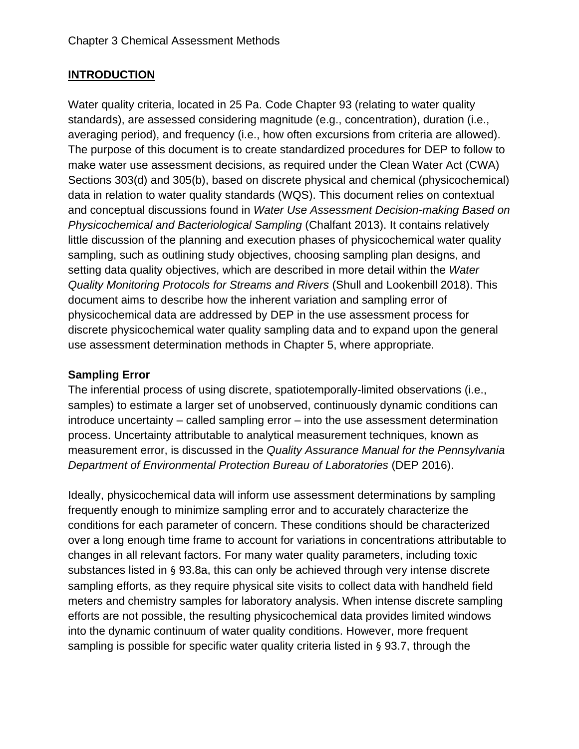#### **INTRODUCTION**

Water quality criteria, located in 25 Pa. Code Chapter 93 (relating to water quality standards), are assessed considering magnitude (e.g., concentration), duration (i.e., averaging period), and frequency (i.e., how often excursions from criteria are allowed). The purpose of this document is to create standardized procedures for DEP to follow to make water use assessment decisions, as required under the Clean Water Act (CWA) Sections 303(d) and 305(b), based on discrete physical and chemical (physicochemical) data in relation to water quality standards (WQS). This document relies on contextual and conceptual discussions found in *Water Use Assessment Decision-making Based on Physicochemical and Bacteriological Sampling* (Chalfant 2013). It contains relatively little discussion of the planning and execution phases of physicochemical water quality sampling, such as outlining study objectives, choosing sampling plan designs, and setting data quality objectives, which are described in more detail within the *Water Quality Monitoring Protocols for Streams and Rivers* (Shull and Lookenbill 2018). This document aims to describe how the inherent variation and sampling error of physicochemical data are addressed by DEP in the use assessment process for discrete physicochemical water quality sampling data and to expand upon the general use assessment determination methods in Chapter 5, where appropriate.

#### **Sampling Error**

The inferential process of using discrete, spatiotemporally-limited observations (i.e., samples) to estimate a larger set of unobserved, continuously dynamic conditions can introduce uncertainty – called sampling error – into the use assessment determination process. Uncertainty attributable to analytical measurement techniques, known as measurement error, is discussed in the *Quality Assurance Manual for the Pennsylvania Department of Environmental Protection Bureau of Laboratories* (DEP 2016).

Ideally, physicochemical data will inform use assessment determinations by sampling frequently enough to minimize sampling error and to accurately characterize the conditions for each parameter of concern. These conditions should be characterized over a long enough time frame to account for variations in concentrations attributable to changes in all relevant factors. For many water quality parameters, including toxic substances listed in § 93.8a, this can only be achieved through very intense discrete sampling efforts, as they require physical site visits to collect data with handheld field meters and chemistry samples for laboratory analysis. When intense discrete sampling efforts are not possible, the resulting physicochemical data provides limited windows into the dynamic continuum of water quality conditions. However, more frequent sampling is possible for specific water quality criteria listed in § 93.7, through the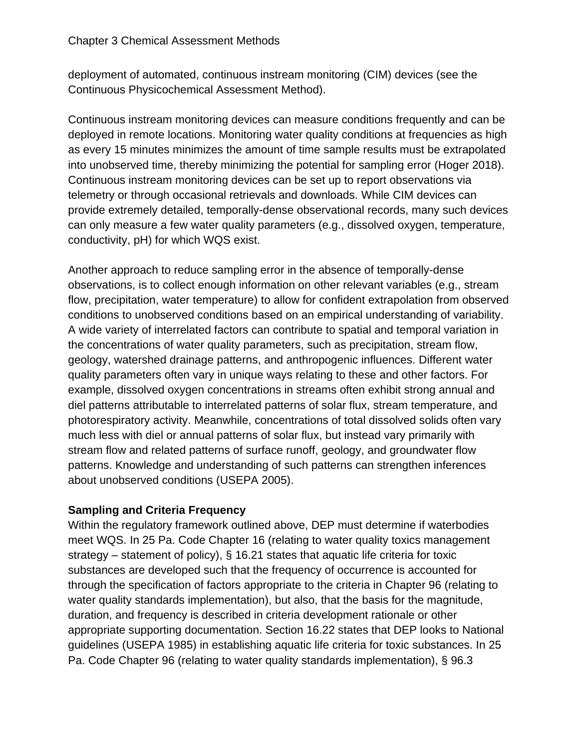deployment of automated, continuous instream monitoring (CIM) devices (see the Continuous Physicochemical Assessment Method).

Continuous instream monitoring devices can measure conditions frequently and can be deployed in remote locations. Monitoring water quality conditions at frequencies as high as every 15 minutes minimizes the amount of time sample results must be extrapolated into unobserved time, thereby minimizing the potential for sampling error (Hoger 2018). Continuous instream monitoring devices can be set up to report observations via telemetry or through occasional retrievals and downloads. While CIM devices can provide extremely detailed, temporally-dense observational records, many such devices can only measure a few water quality parameters (e.g., dissolved oxygen, temperature, conductivity, pH) for which WQS exist.

Another approach to reduce sampling error in the absence of temporally-dense observations, is to collect enough information on other relevant variables (e.g., stream flow, precipitation, water temperature) to allow for confident extrapolation from observed conditions to unobserved conditions based on an empirical understanding of variability. A wide variety of interrelated factors can contribute to spatial and temporal variation in the concentrations of water quality parameters, such as precipitation, stream flow, geology, watershed drainage patterns, and anthropogenic influences. Different water quality parameters often vary in unique ways relating to these and other factors. For example, dissolved oxygen concentrations in streams often exhibit strong annual and diel patterns attributable to interrelated patterns of solar flux, stream temperature, and photorespiratory activity. Meanwhile, concentrations of total dissolved solids often vary much less with diel or annual patterns of solar flux, but instead vary primarily with stream flow and related patterns of surface runoff, geology, and groundwater flow patterns. Knowledge and understanding of such patterns can strengthen inferences about unobserved conditions (USEPA 2005).

## **Sampling and Criteria Frequency**

Within the regulatory framework outlined above, DEP must determine if waterbodies meet WQS. In 25 Pa. Code Chapter 16 (relating to water quality toxics management strategy – statement of policy), § 16.21 states that aquatic life criteria for toxic substances are developed such that the frequency of occurrence is accounted for through the specification of factors appropriate to the criteria in Chapter 96 (relating to water quality standards implementation), but also, that the basis for the magnitude, duration, and frequency is described in criteria development rationale or other appropriate supporting documentation. Section 16.22 states that DEP looks to National guidelines (USEPA 1985) in establishing aquatic life criteria for toxic substances. In 25 Pa. Code Chapter 96 (relating to water quality standards implementation), § 96.3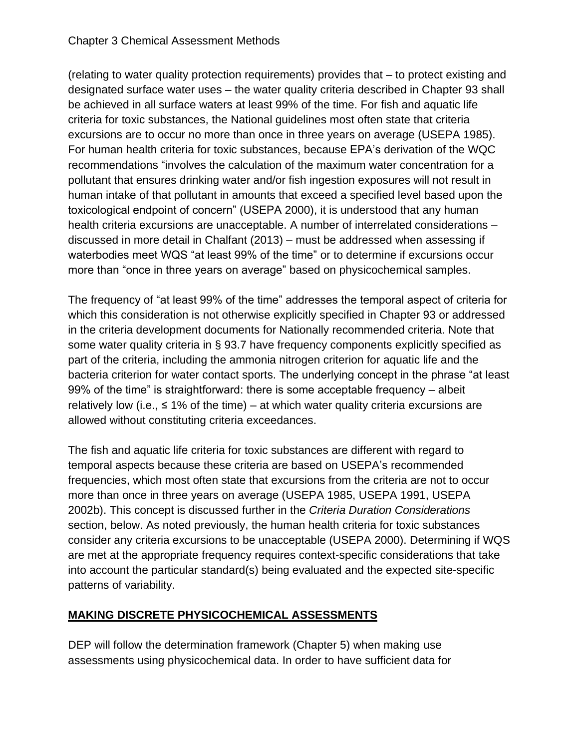(relating to water quality protection requirements) provides that – to protect existing and designated surface water uses – the water quality criteria described in Chapter 93 shall be achieved in all surface waters at least 99% of the time. For fish and aquatic life criteria for toxic substances, the National guidelines most often state that criteria excursions are to occur no more than once in three years on average (USEPA 1985). For human health criteria for toxic substances, because EPA's derivation of the WQC recommendations "involves the calculation of the maximum water concentration for a pollutant that ensures drinking water and/or fish ingestion exposures will not result in human intake of that pollutant in amounts that exceed a specified level based upon the toxicological endpoint of concern" (USEPA 2000), it is understood that any human health criteria excursions are unacceptable. A number of interrelated considerations – discussed in more detail in Chalfant (2013) – must be addressed when assessing if waterbodies meet WQS "at least 99% of the time" or to determine if excursions occur more than "once in three years on average" based on physicochemical samples.

The frequency of "at least 99% of the time" addresses the temporal aspect of criteria for which this consideration is not otherwise explicitly specified in Chapter 93 or addressed in the criteria development documents for Nationally recommended criteria. Note that some water quality criteria in § 93.7 have frequency components explicitly specified as part of the criteria, including the ammonia nitrogen criterion for aquatic life and the bacteria criterion for water contact sports. The underlying concept in the phrase "at least 99% of the time" is straightforward: there is some acceptable frequency – albeit relatively low (i.e.,  $\leq$  1% of the time) – at which water quality criteria excursions are allowed without constituting criteria exceedances.

The fish and aquatic life criteria for toxic substances are different with regard to temporal aspects because these criteria are based on USEPA's recommended frequencies, which most often state that excursions from the criteria are not to occur more than once in three years on average (USEPA 1985, USEPA 1991, USEPA 2002b). This concept is discussed further in the *Criteria Duration Considerations* section, below. As noted previously, the human health criteria for toxic substances consider any criteria excursions to be unacceptable (USEPA 2000). Determining if WQS are met at the appropriate frequency requires context-specific considerations that take into account the particular standard(s) being evaluated and the expected site-specific patterns of variability.

# **MAKING DISCRETE PHYSICOCHEMICAL ASSESSMENTS**

DEP will follow the determination framework (Chapter 5) when making use assessments using physicochemical data. In order to have sufficient data for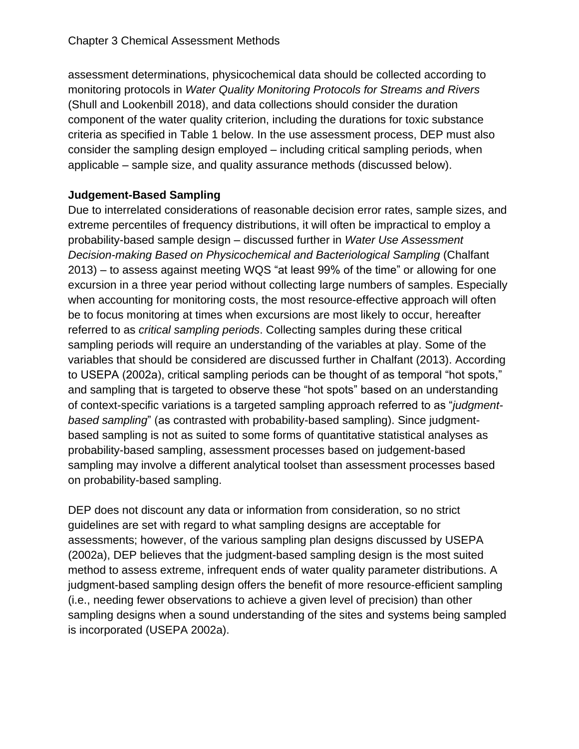assessment determinations, physicochemical data should be collected according to monitoring protocols in *Water Quality Monitoring Protocols for Streams and Rivers*  (Shull and Lookenbill 2018), and data collections should consider the duration component of the water quality criterion, including the durations for toxic substance criteria as specified in Table 1 below. In the use assessment process, DEP must also consider the sampling design employed – including critical sampling periods, when applicable – sample size, and quality assurance methods (discussed below).

# **Judgement-Based Sampling**

Due to interrelated considerations of reasonable decision error rates, sample sizes, and extreme percentiles of frequency distributions, it will often be impractical to employ a probability-based sample design – discussed further in *Water Use Assessment Decision-making Based on Physicochemical and Bacteriological Sampling* (Chalfant 2013) – to assess against meeting WQS "at least 99% of the time" or allowing for one excursion in a three year period without collecting large numbers of samples. Especially when accounting for monitoring costs, the most resource-effective approach will often be to focus monitoring at times when excursions are most likely to occur, hereafter referred to as *critical sampling periods*. Collecting samples during these critical sampling periods will require an understanding of the variables at play. Some of the variables that should be considered are discussed further in Chalfant (2013). According to USEPA (2002a), critical sampling periods can be thought of as temporal "hot spots," and sampling that is targeted to observe these "hot spots" based on an understanding of context-specific variations is a targeted sampling approach referred to as "*judgmentbased sampling*" (as contrasted with probability-based sampling). Since judgmentbased sampling is not as suited to some forms of quantitative statistical analyses as probability-based sampling, assessment processes based on judgement-based sampling may involve a different analytical toolset than assessment processes based on probability-based sampling.

DEP does not discount any data or information from consideration, so no strict guidelines are set with regard to what sampling designs are acceptable for assessments; however, of the various sampling plan designs discussed by USEPA (2002a), DEP believes that the judgment-based sampling design is the most suited method to assess extreme, infrequent ends of water quality parameter distributions. A judgment-based sampling design offers the benefit of more resource-efficient sampling (i.e., needing fewer observations to achieve a given level of precision) than other sampling designs when a sound understanding of the sites and systems being sampled is incorporated (USEPA 2002a).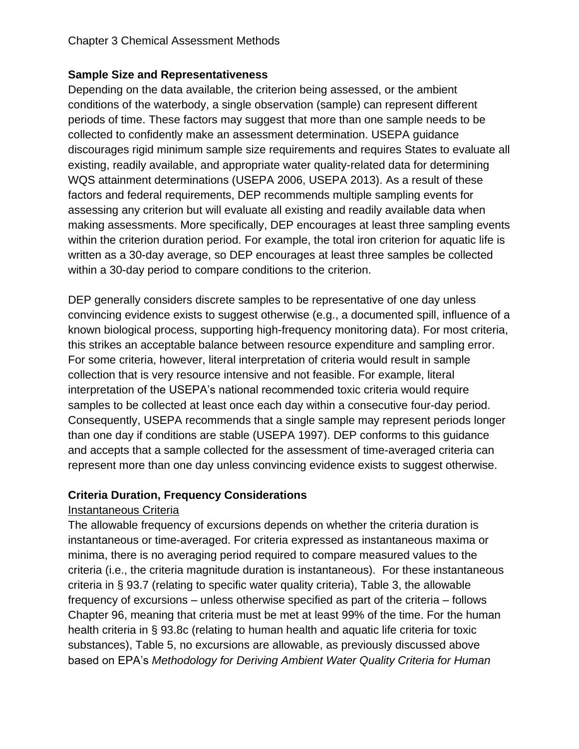#### **Sample Size and Representativeness**

Depending on the data available, the criterion being assessed, or the ambient conditions of the waterbody, a single observation (sample) can represent different periods of time. These factors may suggest that more than one sample needs to be collected to confidently make an assessment determination. USEPA guidance discourages rigid minimum sample size requirements and requires States to evaluate all existing, readily available, and appropriate water quality-related data for determining WQS attainment determinations (USEPA 2006, USEPA 2013). As a result of these factors and federal requirements, DEP recommends multiple sampling events for assessing any criterion but will evaluate all existing and readily available data when making assessments. More specifically, DEP encourages at least three sampling events within the criterion duration period. For example, the total iron criterion for aquatic life is written as a 30-day average, so DEP encourages at least three samples be collected within a 30-day period to compare conditions to the criterion.

DEP generally considers discrete samples to be representative of one day unless convincing evidence exists to suggest otherwise (e.g., a documented spill, influence of a known biological process, supporting high-frequency monitoring data). For most criteria, this strikes an acceptable balance between resource expenditure and sampling error. For some criteria, however, literal interpretation of criteria would result in sample collection that is very resource intensive and not feasible. For example, literal interpretation of the USEPA's national recommended toxic criteria would require samples to be collected at least once each day within a consecutive four-day period. Consequently, USEPA recommends that a single sample may represent periods longer than one day if conditions are stable (USEPA 1997). DEP conforms to this guidance and accepts that a sample collected for the assessment of time-averaged criteria can represent more than one day unless convincing evidence exists to suggest otherwise.

## **Criteria Duration, Frequency Considerations**

## Instantaneous Criteria

The allowable frequency of excursions depends on whether the criteria duration is instantaneous or time-averaged. For criteria expressed as instantaneous maxima or minima, there is no averaging period required to compare measured values to the criteria (i.e., the criteria magnitude duration is instantaneous). For these instantaneous criteria in § 93.7 (relating to specific water quality criteria), Table 3, the allowable frequency of excursions – unless otherwise specified as part of the criteria – follows Chapter 96, meaning that criteria must be met at least 99% of the time. For the human health criteria in § 93.8c (relating to human health and aquatic life criteria for toxic substances), Table 5, no excursions are allowable, as previously discussed above based on EPA's *Methodology for Deriving Ambient Water Quality Criteria for Human*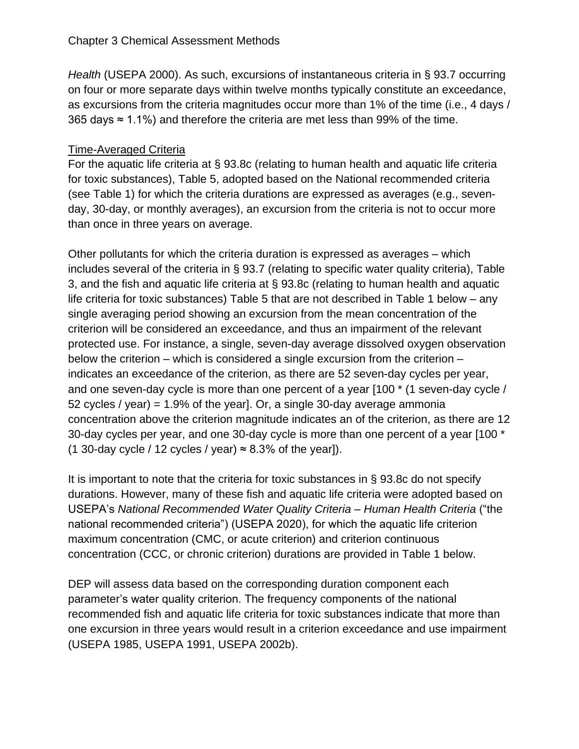*Health* (USEPA 2000). As such, excursions of instantaneous criteria in § 93.7 occurring on four or more separate days within twelve months typically constitute an exceedance, as excursions from the criteria magnitudes occur more than 1% of the time (i.e., 4 days / 365 days ≈ 1.1%) and therefore the criteria are met less than 99% of the time.

#### Time-Averaged Criteria

For the aquatic life criteria at § 93.8c (relating to human health and aquatic life criteria for toxic substances), Table 5, adopted based on the National recommended criteria (see Table 1) for which the criteria durations are expressed as averages (e.g., sevenday, 30-day, or monthly averages), an excursion from the criteria is not to occur more than once in three years on average.

Other pollutants for which the criteria duration is expressed as averages – which includes several of the criteria in § 93.7 (relating to specific water quality criteria), Table 3, and the fish and aquatic life criteria at § 93.8c (relating to human health and aquatic life criteria for toxic substances) Table 5 that are not described in Table 1 below – any single averaging period showing an excursion from the mean concentration of the criterion will be considered an exceedance, and thus an impairment of the relevant protected use. For instance, a single, seven-day average dissolved oxygen observation below the criterion – which is considered a single excursion from the criterion – indicates an exceedance of the criterion, as there are 52 seven-day cycles per year, and one seven-day cycle is more than one percent of a year [100 \* (1 seven-day cycle / 52 cycles / year) = 1.9% of the year]. Or, a single 30-day average ammonia concentration above the criterion magnitude indicates an of the criterion, as there are 12 30-day cycles per year, and one 30-day cycle is more than one percent of a year [100 \* (1 30-day cycle / 12 cycles / year)  $\approx$  8.3% of the year]).

It is important to note that the criteria for toxic substances in § 93.8c do not specify durations. However, many of these fish and aquatic life criteria were adopted based on USEPA's *National Recommended Water Quality Criteria – Human Health Criteria* ("the national recommended criteria") (USEPA 2020), for which the aquatic life criterion maximum concentration (CMC, or acute criterion) and criterion continuous concentration (CCC, or chronic criterion) durations are provided in Table 1 below.

DEP will assess data based on the corresponding duration component each parameter's water quality criterion. The frequency components of the national recommended fish and aquatic life criteria for toxic substances indicate that more than one excursion in three years would result in a criterion exceedance and use impairment (USEPA 1985, USEPA 1991, USEPA 2002b).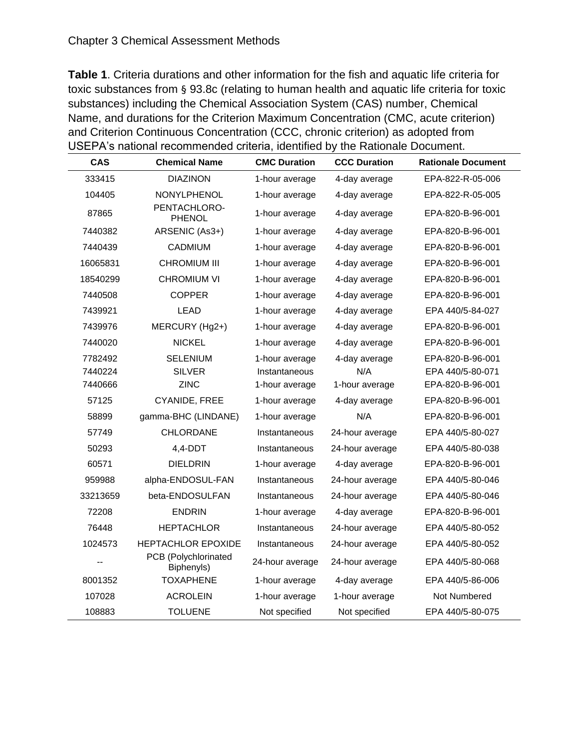**Table 1**. Criteria durations and other information for the fish and aquatic life criteria for toxic substances from § 93.8c (relating to human health and aquatic life criteria for toxic substances) including the Chemical Association System (CAS) number, Chemical Name, and durations for the Criterion Maximum Concentration (CMC, acute criterion) and Criterion Continuous Concentration (CCC, chronic criterion) as adopted from USEPA's national recommended criteria, identified by the Rationale Document.

| <b>CAS</b> | <b>Chemical Name</b>               | <b>CMC Duration</b> | <b>CCC Duration</b> | <b>Rationale Document</b> |
|------------|------------------------------------|---------------------|---------------------|---------------------------|
| 333415     | <b>DIAZINON</b>                    | 1-hour average      | 4-day average       | EPA-822-R-05-006          |
| 104405     | NONYLPHENOL                        | 1-hour average      | 4-day average       | EPA-822-R-05-005          |
| 87865      | PENTACHLORO-<br>PHENOL             | 1-hour average      | 4-day average       | EPA-820-B-96-001          |
| 7440382    | ARSENIC (As3+)                     | 1-hour average      | 4-day average       | EPA-820-B-96-001          |
| 7440439    | CADMIUM                            | 1-hour average      | 4-day average       | EPA-820-B-96-001          |
| 16065831   | <b>CHROMIUM III</b>                | 1-hour average      | 4-day average       | EPA-820-B-96-001          |
| 18540299   | <b>CHROMIUM VI</b>                 | 1-hour average      | 4-day average       | EPA-820-B-96-001          |
| 7440508    | <b>COPPER</b>                      | 1-hour average      | 4-day average       | EPA-820-B-96-001          |
| 7439921    | <b>LEAD</b>                        | 1-hour average      | 4-day average       | EPA 440/5-84-027          |
| 7439976    | MERCURY (Hg2+)                     | 1-hour average      | 4-day average       | EPA-820-B-96-001          |
| 7440020    | <b>NICKEL</b>                      | 1-hour average      | 4-day average       | EPA-820-B-96-001          |
| 7782492    | <b>SELENIUM</b>                    | 1-hour average      | 4-day average       | EPA-820-B-96-001          |
| 7440224    | <b>SILVER</b>                      | Instantaneous       | N/A                 | EPA 440/5-80-071          |
| 7440666    | <b>ZINC</b>                        | 1-hour average      | 1-hour average      | EPA-820-B-96-001          |
| 57125      | CYANIDE, FREE                      | 1-hour average      | 4-day average       | EPA-820-B-96-001          |
| 58899      | gamma-BHC (LINDANE)                | 1-hour average      | N/A                 | EPA-820-B-96-001          |
| 57749      | <b>CHLORDANE</b>                   | Instantaneous       | 24-hour average     | EPA 440/5-80-027          |
| 50293      | $4,4$ -DDT                         | Instantaneous       | 24-hour average     | EPA 440/5-80-038          |
| 60571      | <b>DIELDRIN</b>                    | 1-hour average      | 4-day average       | EPA-820-B-96-001          |
| 959988     | alpha-ENDOSUL-FAN                  | Instantaneous       | 24-hour average     | EPA 440/5-80-046          |
| 33213659   | beta-ENDOSULFAN                    | Instantaneous       | 24-hour average     | EPA 440/5-80-046          |
| 72208      | <b>ENDRIN</b>                      | 1-hour average      | 4-day average       | EPA-820-B-96-001          |
| 76448      | <b>HEPTACHLOR</b>                  | Instantaneous       | 24-hour average     | EPA 440/5-80-052          |
| 1024573    | HEPTACHLOR EPOXIDE                 | Instantaneous       | 24-hour average     | EPA 440/5-80-052          |
|            | PCB (Polychlorinated<br>Biphenyls) | 24-hour average     | 24-hour average     | EPA 440/5-80-068          |
| 8001352    | <b>TOXAPHENE</b>                   | 1-hour average      | 4-day average       | EPA 440/5-86-006          |
| 107028     | <b>ACROLEIN</b>                    | 1-hour average      | 1-hour average      | Not Numbered              |
| 108883     | <b>TOLUENE</b>                     | Not specified       | Not specified       | EPA 440/5-80-075          |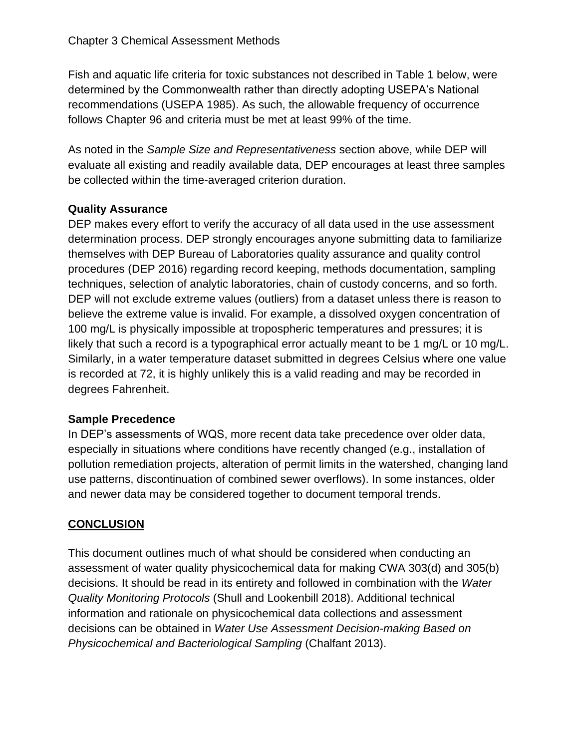Fish and aquatic life criteria for toxic substances not described in Table 1 below, were determined by the Commonwealth rather than directly adopting USEPA's National recommendations (USEPA 1985). As such, the allowable frequency of occurrence follows Chapter 96 and criteria must be met at least 99% of the time.

As noted in the *Sample Size and Representativeness* section above, while DEP will evaluate all existing and readily available data, DEP encourages at least three samples be collected within the time-averaged criterion duration.

## **Quality Assurance**

DEP makes every effort to verify the accuracy of all data used in the use assessment determination process. DEP strongly encourages anyone submitting data to familiarize themselves with DEP Bureau of Laboratories quality assurance and quality control procedures (DEP 2016) regarding record keeping, methods documentation, sampling techniques, selection of analytic laboratories, chain of custody concerns, and so forth. DEP will not exclude extreme values (outliers) from a dataset unless there is reason to believe the extreme value is invalid. For example, a dissolved oxygen concentration of 100 mg/L is physically impossible at tropospheric temperatures and pressures; it is likely that such a record is a typographical error actually meant to be 1 mg/L or 10 mg/L. Similarly, in a water temperature dataset submitted in degrees Celsius where one value is recorded at 72, it is highly unlikely this is a valid reading and may be recorded in degrees Fahrenheit.

## **Sample Precedence**

In DEP's assessments of WQS, more recent data take precedence over older data, especially in situations where conditions have recently changed (e.g., installation of pollution remediation projects, alteration of permit limits in the watershed, changing land use patterns, discontinuation of combined sewer overflows). In some instances, older and newer data may be considered together to document temporal trends.

# **CONCLUSION**

This document outlines much of what should be considered when conducting an assessment of water quality physicochemical data for making CWA 303(d) and 305(b) decisions. It should be read in its entirety and followed in combination with the *Water Quality Monitoring Protocols* (Shull and Lookenbill 2018). Additional technical information and rationale on physicochemical data collections and assessment decisions can be obtained in *Water Use Assessment Decision-making Based on Physicochemical and Bacteriological Sampling* (Chalfant 2013).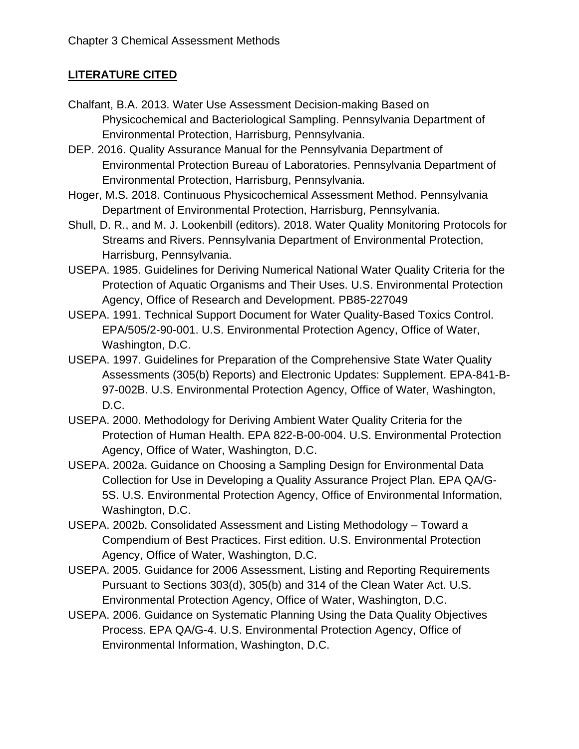## **LITERATURE CITED**

- Chalfant, B.A. 2013. Water Use Assessment Decision-making Based on Physicochemical and Bacteriological Sampling. Pennsylvania Department of Environmental Protection, Harrisburg, Pennsylvania.
- DEP. 2016. Quality Assurance Manual for the Pennsylvania Department of Environmental Protection Bureau of Laboratories. Pennsylvania Department of Environmental Protection, Harrisburg, Pennsylvania.
- Hoger, M.S. 2018. Continuous Physicochemical Assessment Method. Pennsylvania Department of Environmental Protection, Harrisburg, Pennsylvania.
- Shull, D. R., and M. J. Lookenbill (editors). 2018. Water Quality Monitoring Protocols for Streams and Rivers. Pennsylvania Department of Environmental Protection, Harrisburg, Pennsylvania.
- USEPA. 1985. Guidelines for Deriving Numerical National Water Quality Criteria for the Protection of Aquatic Organisms and Their Uses. U.S. Environmental Protection Agency, Office of Research and Development. PB85-227049
- USEPA. 1991. Technical Support Document for Water Quality-Based Toxics Control. EPA/505/2-90-001. U.S. Environmental Protection Agency, Office of Water, Washington, D.C.
- USEPA. 1997. Guidelines for Preparation of the Comprehensive State Water Quality Assessments (305(b) Reports) and Electronic Updates: Supplement. EPA-841-B-97-002B. U.S. Environmental Protection Agency, Office of Water, Washington, D.C.
- USEPA. 2000. Methodology for Deriving Ambient Water Quality Criteria for the Protection of Human Health. EPA 822-B-00-004. U.S. Environmental Protection Agency, Office of Water, Washington, D.C.
- USEPA. 2002a. Guidance on Choosing a Sampling Design for Environmental Data Collection for Use in Developing a Quality Assurance Project Plan. EPA QA/G-5S. U.S. Environmental Protection Agency, Office of Environmental Information, Washington, D.C.
- USEPA. 2002b. Consolidated Assessment and Listing Methodology Toward a Compendium of Best Practices. First edition. U.S. Environmental Protection Agency, Office of Water, Washington, D.C.
- USEPA. 2005. Guidance for 2006 Assessment, Listing and Reporting Requirements Pursuant to Sections 303(d), 305(b) and 314 of the Clean Water Act. U.S. Environmental Protection Agency, Office of Water, Washington, D.C.
- USEPA. 2006. Guidance on Systematic Planning Using the Data Quality Objectives Process. EPA QA/G-4. U.S. Environmental Protection Agency, Office of Environmental Information, Washington, D.C.